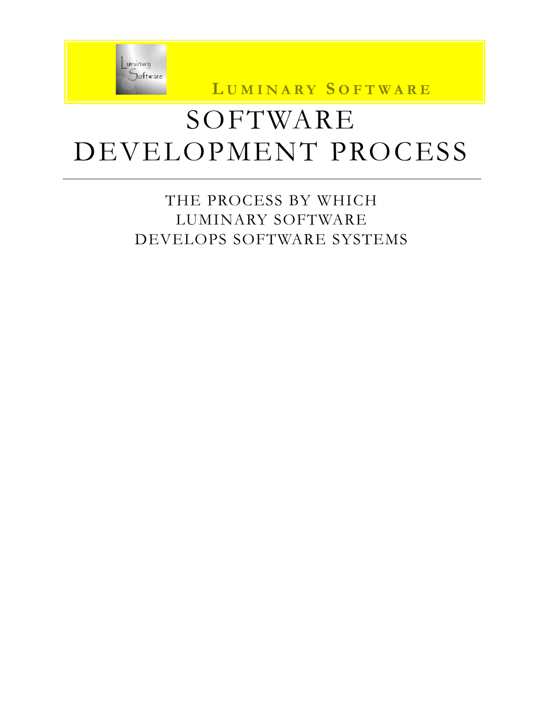

**L UMINARY S OFTWARE**

# SOFTWARE DEVELOPMENT PROCESS

### THE PROCESS BY WHICH LUMINARY SOFTWARE DEVELOPS SOFTWARE SYSTEMS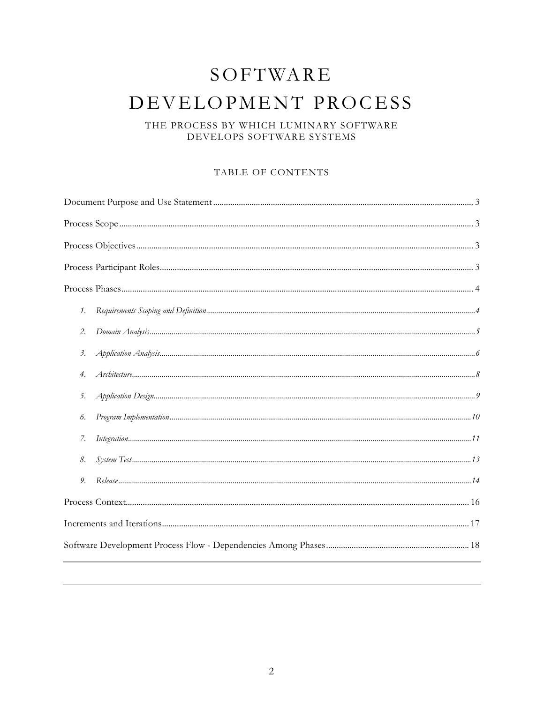## SOFTWARE DEVELOPMENT PROCESS

#### THE PROCESS BY WHICH LUMINARY SOFTWARE DEVELOPS SOFTWARE SYSTEMS

#### TABLE OF CONTENTS

| 1.                                       |
|------------------------------------------|
| 2.                                       |
| $\beta$ .                                |
| 4.                                       |
| 5.                                       |
| 6.                                       |
| $\label{prop:main} Integration 11$<br>7. |
| 8.                                       |
| 9.                                       |
|                                          |
|                                          |
|                                          |
|                                          |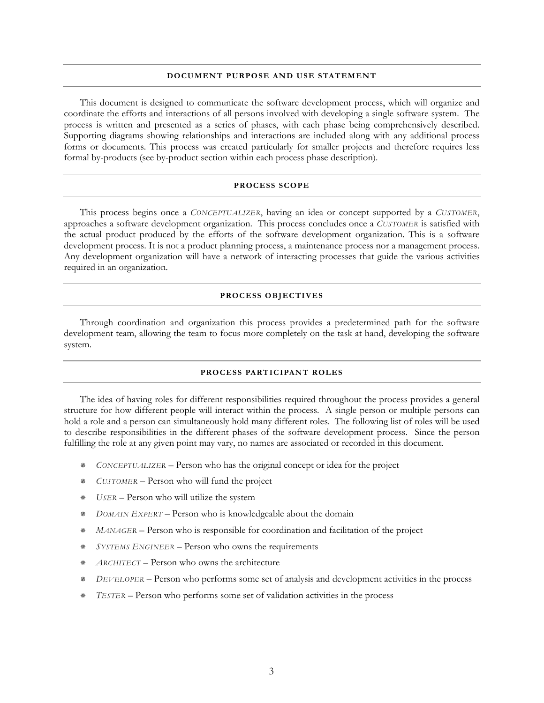#### **DOCUMENT PURPOSE AND USE STATEMENT**

This document is designed to communicate the software development process, which will organize and coordinate the efforts and interactions of all persons involved with developing a single software system. The process is written and presented as a series of phases, with each phase being comprehensively described. Supporting diagrams showing relationships and interactions are included along with any additional process forms or documents. This process was created particularly for smaller projects and therefore requires less formal by-products (see by-product section within each process phase description).

#### **PROCESS SCOPE**

This process begins once a *CONCEPTUALIZER*, having an idea or concept supported by a *CUSTOMER*, approaches a software development organization. This process concludes once a *CUSTOMER* is satisfied with the actual product produced by the efforts of the software development organization. This is a software development process. It is not a product planning process, a maintenance process nor a management process. Any development organization will have a network of interacting processes that guide the various activities required in an organization.

#### **PROCESS OBJECTIVES**

Through coordination and organization this process provides a predetermined path for the software development team, allowing the team to focus more completely on the task at hand, developing the software system.

#### **PROCESS PARTICIPANT ROLES**

The idea of having roles for different responsibilities required throughout the process provides a general structure for how different people will interact within the process. A single person or multiple persons can hold a role and a person can simultaneously hold many different roles. The following list of roles will be used to describe responsibilities in the different phases of the software development process. Since the person fulfilling the role at any given point may vary, no names are associated or recorded in this document.

- *CONCEPTUALIZER* Person who has the original concept or idea for the project
- *CUSTOMER* Person who will fund the project
- *USER* Person who will utilize the system
- *DOMAIN EXPERT* Person who is knowledgeable about the domain
- *MANAGER* Person who is responsible for coordination and facilitation of the project
- *SYSTEMS ENGINEER* Person who owns the requirements
- *ARCHITECT* Person who owns the architecture
- *DEVELOPER* Person who performs some set of analysis and development activities in the process
- *TESTER* Person who performs some set of validation activities in the process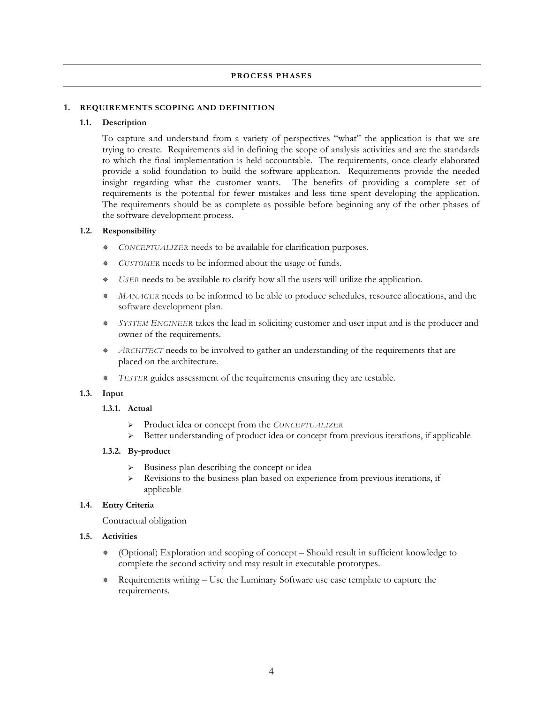#### **PROCESS PHASES**

#### **1. REQUIREMENTS SCOPING AND DEFINITION**

#### **1.1. Description**

To capture and understand from a variety of perspectives "what" the application is that we are trying to create. Requirements aid in defining the scope of analysis activities and are the standards to which the final implementation is held accountable. The requirements, once clearly elaborated provide a solid foundation to build the software application. Requirements provide the needed insight regarding what the customer wants. The benefits of providing a complete set of requirements is the potential for fewer mistakes and less time spent developing the application. The requirements should be as complete as possible before beginning any of the other phases of the software development process.

#### **1.2. Responsibility**

- *CONCEPTUALIZER* needs to be available for clarification purposes.
- *CUSTOMER* needs to be informed about the usage of funds.
- *USER* needs to be available to clarify how all the users will utilize the application*.*
- *MANAGER* needs to be informed to be able to produce schedules, resource allocations, and the software development plan.
- *SYSTEM ENGINEER* takes the lead in soliciting customer and user input and is the producer and owner of the requirements.
- *ARCHITECT* needs to be involved to gather an understanding of the requirements that are placed on the architecture.
- *TESTER* guides assessment of the requirements ensuring they are testable.

#### **1.3. Input**

#### **1.3.1. Actual**

- ¾ Product idea or concept from the *CONCEPTUALIZER*
- $\triangleright$  Better understanding of product idea or concept from previous iterations, if applicable

#### **1.3.2. By-product**

- $\triangleright$  Business plan describing the concept or idea
- ¾ Revisions to the business plan based on experience from previous iterations, if applicable

#### **1.4. Entry Criteria**

Contractual obligation

- **1.5. Activities** 
	- (Optional) Exploration and scoping of concept Should result in sufficient knowledge to complete the second activity and may result in executable prototypes.
	- Requirements writing Use the Luminary Software use case template to capture the requirements.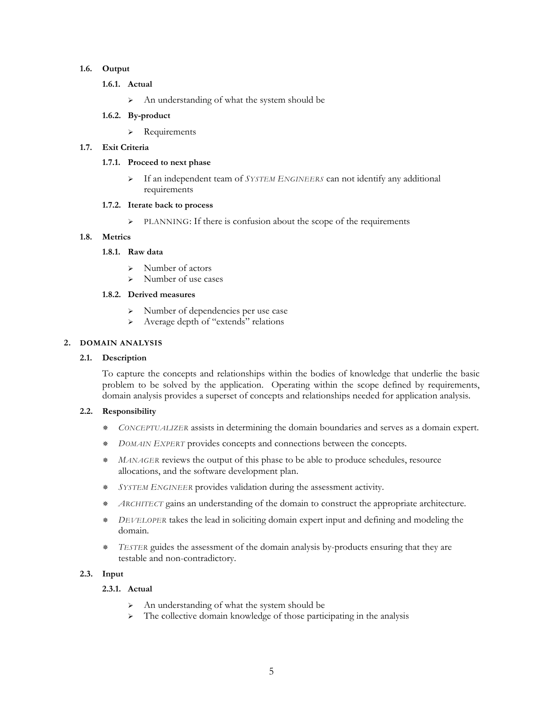#### **1.6. Output**

- **1.6.1. Actual** 
	- ¾ An understanding of what the system should be
- **1.6.2. By-product** 
	- ¾ Requirements

#### **1.7. Exit Criteria**

#### **1.7.1. Proceed to next phase**

¾ If an independent team of *SYSTEM ENGINEERS* can not identify any additional requirements

#### **1.7.2. Iterate back to process**

¾ PLANNING: If there is confusion about the scope of the requirements

#### **1.8. Metrics**

#### **1.8.1. Raw data**

- $\triangleright$  Number of actors
- ¾ Number of use cases

#### **1.8.2. Derived measures**

- ¾ Number of dependencies per use case
- ¾ Average depth of "extends" relations

#### **2. DOMAIN ANALYSIS**

#### **2.1. Description**

To capture the concepts and relationships within the bodies of knowledge that underlie the basic problem to be solved by the application. Operating within the scope defined by requirements, domain analysis provides a superset of concepts and relationships needed for application analysis.

#### **2.2. Responsibility**

- *CONCEPTUALIZER* assists in determining the domain boundaries and serves as a domain expert.
- *DOMAIN EXPERT* provides concepts and connections between the concepts.
- *MANAGER* reviews the output of this phase to be able to produce schedules, resource allocations, and the software development plan.
- *SYSTEM ENGINEER* provides validation during the assessment activity.
- *ARCHITECT* gains an understanding of the domain to construct the appropriate architecture.
- *DEVELOPER* takes the lead in soliciting domain expert input and defining and modeling the domain.
- *TESTER* guides the assessment of the domain analysis by-products ensuring that they are testable and non-contradictory.

#### **2.3. Input**

#### **2.3.1. Actual**

- ¾ An understanding of what the system should be
- $\triangleright$  The collective domain knowledge of those participating in the analysis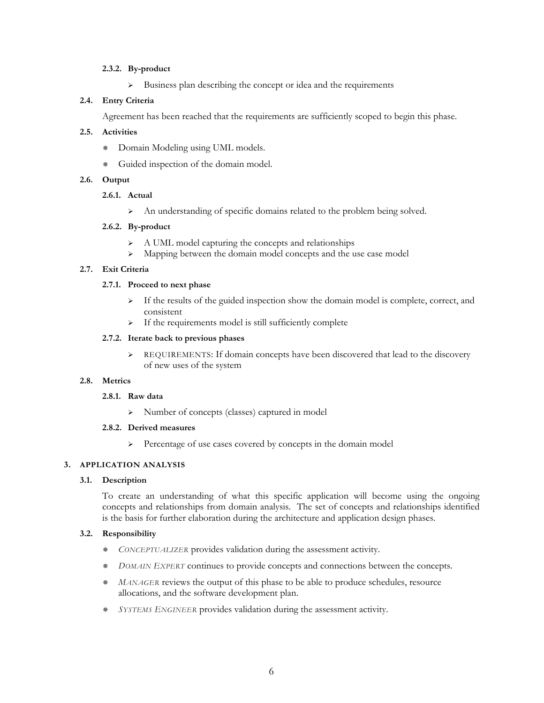#### **2.3.2. By-product**

¾ Business plan describing the concept or idea and the requirements

#### **2.4. Entry Criteria**

Agreement has been reached that the requirements are sufficiently scoped to begin this phase.

#### **2.5. Activities**

- Domain Modeling using UML models.
- Guided inspection of the domain model.

#### **2.6. Output**

#### **2.6.1. Actual**

¾ An understanding of specific domains related to the problem being solved.

#### **2.6.2. By-product**

- ¾ A UML model capturing the concepts and relationships
- ¾ Mapping between the domain model concepts and the use case model

#### **2.7. Exit Criteria**

#### **2.7.1. Proceed to next phase**

- $\triangleright$  If the results of the guided inspection show the domain model is complete, correct, and consistent
- ¾ If the requirements model is still sufficiently complete

#### **2.7.2. Iterate back to previous phases**

¾ REQUIREMENTS: If domain concepts have been discovered that lead to the discovery of new uses of the system

#### **2.8. Metrics**

#### **2.8.1. Raw data**

¾ Number of concepts (classes) captured in model

#### **2.8.2. Derived measures**

¾ Percentage of use cases covered by concepts in the domain model

#### **3. APPLICATION ANALYSIS**

#### **3.1. Description**

To create an understanding of what this specific application will become using the ongoing concepts and relationships from domain analysis. The set of concepts and relationships identified is the basis for further elaboration during the architecture and application design phases.

#### **3.2. Responsibility**

- *CONCEPTUALIZER* provides validation during the assessment activity.
- *DOMAIN EXPERT* continues to provide concepts and connections between the concepts.
- *MANAGER* reviews the output of this phase to be able to produce schedules, resource allocations, and the software development plan.
- *SYSTEMS ENGINEER* provides validation during the assessment activity.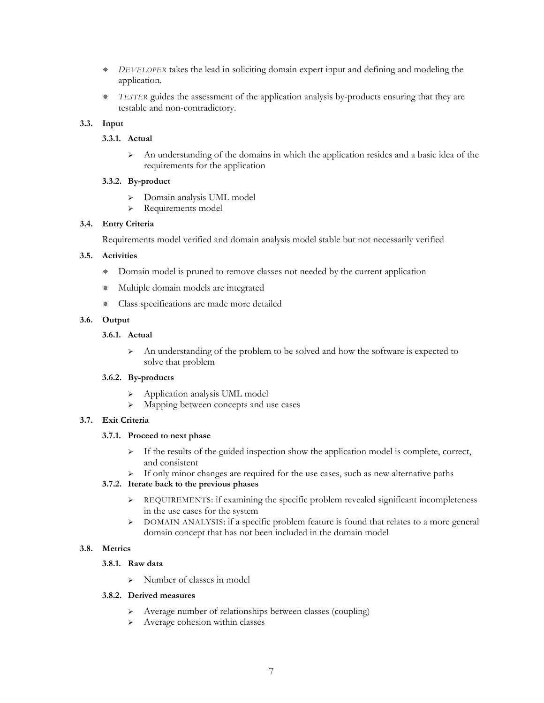- *DEVELOPER* takes the lead in soliciting domain expert input and defining and modeling the application.
- *TESTER* guides the assessment of the application analysis by-products ensuring that they are testable and non-contradictory.

#### **3.3. Input**

#### **3.3.1. Actual**

 $\triangleright$  An understanding of the domains in which the application resides and a basic idea of the requirements for the application

#### **3.3.2. By-product**

- ¾ Domain analysis UML model
- ¾ Requirements model

#### **3.4. Entry Criteria**

Requirements model verified and domain analysis model stable but not necessarily verified

#### **3.5. Activities**

- Domain model is pruned to remove classes not needed by the current application
- Multiple domain models are integrated
- Class specifications are made more detailed

#### **3.6. Output**

#### **3.6.1. Actual**

¾ An understanding of the problem to be solved and how the software is expected to solve that problem

#### **3.6.2. By-products**

- ¾ Application analysis UML model
- ¾ Mapping between concepts and use cases

#### **3.7. Exit Criteria**

#### **3.7.1. Proceed to next phase**

- $\triangleright$  If the results of the guided inspection show the application model is complete, correct, and consistent
- ¾ If only minor changes are required for the use cases, such as new alternative paths

#### **3.7.2. Iterate back to the previous phases**

- $\triangleright$  REQUIREMENTS: if examining the specific problem revealed significant incompleteness in the use cases for the system
- ¾ DOMAIN ANALYSIS: if a specific problem feature is found that relates to a more general domain concept that has not been included in the domain model

#### **3.8. Metrics**

#### **3.8.1. Raw data**

¾ Number of classes in model

#### **3.8.2. Derived measures**

- ¾ Average number of relationships between classes (coupling)
- ¾ Average cohesion within classes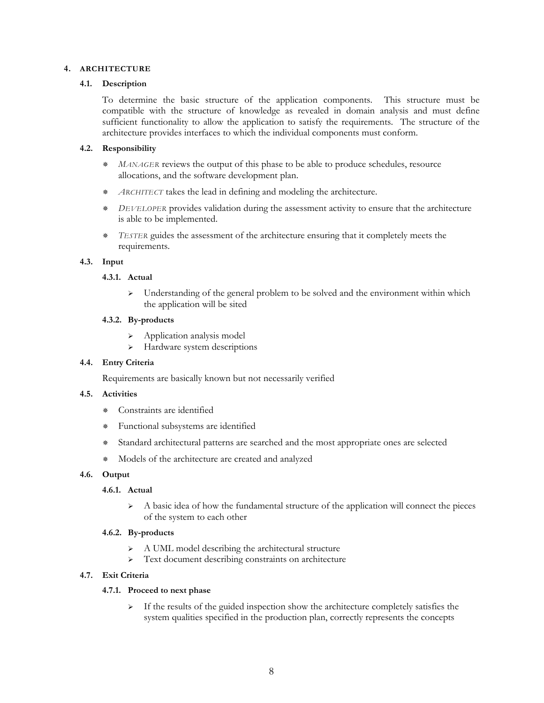#### **4. ARCHITECTURE**

#### **4.1. Description**

To determine the basic structure of the application components. This structure must be compatible with the structure of knowledge as revealed in domain analysis and must define sufficient functionality to allow the application to satisfy the requirements. The structure of the architecture provides interfaces to which the individual components must conform.

#### **4.2. Responsibility**

- *MANAGER* reviews the output of this phase to be able to produce schedules, resource allocations, and the software development plan.
- *ARCHITECT* takes the lead in defining and modeling the architecture.
- *DEVELOPER* provides validation during the assessment activity to ensure that the architecture is able to be implemented.
- *TESTER* guides the assessment of the architecture ensuring that it completely meets the requirements.

#### **4.3. Input**

#### **4.3.1. Actual**

Understanding of the general problem to be solved and the environment within which the application will be sited

#### **4.3.2. By-products**

- ¾ Application analysis model
- ¾ Hardware system descriptions

#### **4.4. Entry Criteria**

Requirements are basically known but not necessarily verified

#### **4.5. Activities**

- Constraints are identified
- Functional subsystems are identified
- Standard architectural patterns are searched and the most appropriate ones are selected
- Models of the architecture are created and analyzed

#### **4.6. Output**

#### **4.6.1. Actual**

 $\triangleright$  A basic idea of how the fundamental structure of the application will connect the pieces of the system to each other

#### **4.6.2. By-products**

- ¾ A UML model describing the architectural structure
- ¾ Text document describing constraints on architecture

#### **4.7. Exit Criteria**

#### **4.7.1. Proceed to next phase**

 $\triangleright$  If the results of the guided inspection show the architecture completely satisfies the system qualities specified in the production plan, correctly represents the concepts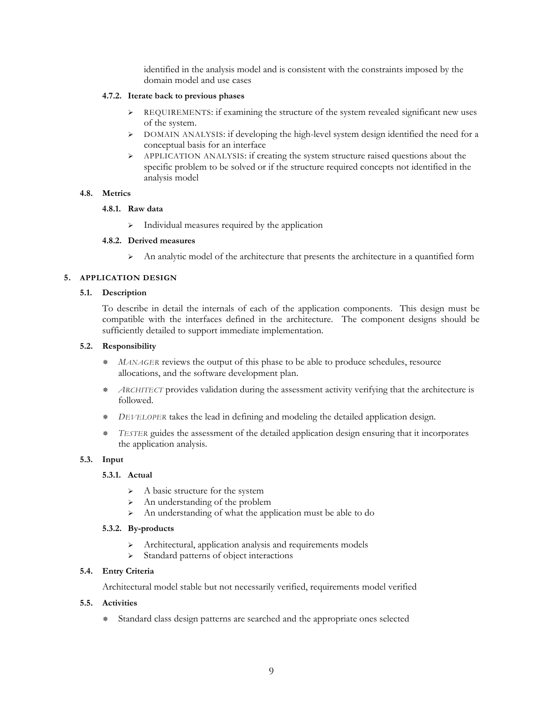identified in the analysis model and is consistent with the constraints imposed by the domain model and use cases

#### **4.7.2. Iterate back to previous phases**

- ¾ REQUIREMENTS: if examining the structure of the system revealed significant new uses of the system.
- $\triangleright$  DOMAIN ANALYSIS: if developing the high-level system design identified the need for a conceptual basis for an interface
- ¾ APPLICATION ANALYSIS: if creating the system structure raised questions about the specific problem to be solved or if the structure required concepts not identified in the analysis model

#### **4.8. Metrics**

#### **4.8.1. Raw data**

 $\triangleright$  Individual measures required by the application

#### **4.8.2. Derived measures**

 $\triangleright$  An analytic model of the architecture that presents the architecture in a quantified form

#### **5. APPLICATION DESIGN**

#### **5.1. Description**

To describe in detail the internals of each of the application components. This design must be compatible with the interfaces defined in the architecture. The component designs should be sufficiently detailed to support immediate implementation.

#### **5.2. Responsibility**

- *MANAGER* reviews the output of this phase to be able to produce schedules, resource allocations, and the software development plan.
- *ARCHITECT* provides validation during the assessment activity verifying that the architecture is followed.
- *DEVELOPER* takes the lead in defining and modeling the detailed application design.
- *TESTER* guides the assessment of the detailed application design ensuring that it incorporates the application analysis.

#### **5.3. Input**

#### **5.3.1. Actual**

- $\triangleright$  A basic structure for the system
- $\triangleright$  An understanding of the problem
- ¾ An understanding of what the application must be able to do

#### **5.3.2. By-products**

- ¾ Architectural, application analysis and requirements models
- ¾ Standard patterns of object interactions

#### **5.4. Entry Criteria**

Architectural model stable but not necessarily verified, requirements model verified

#### **5.5. Activities**

Standard class design patterns are searched and the appropriate ones selected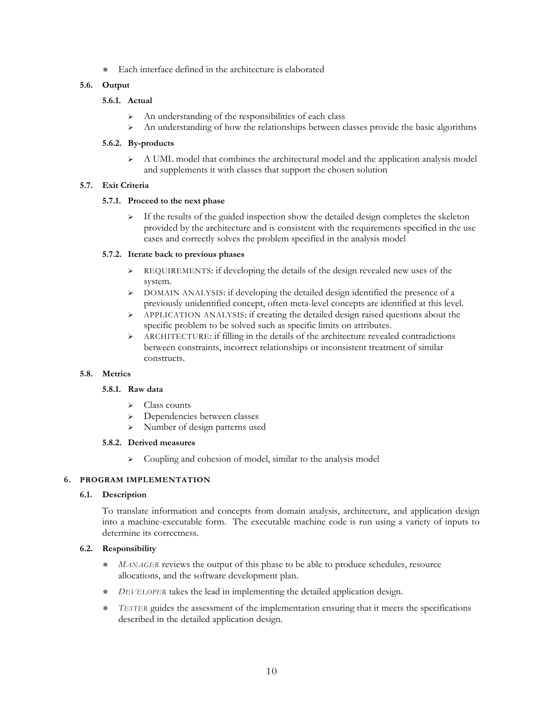Each interface defined in the architecture is elaborated

#### **5.6. Output**

#### **5.6.1. Actual**

- $\triangleright$  An understanding of the responsibilities of each class
- ¾ An understanding of how the relationships between classes provide the basic algorithms

#### **5.6.2. By-products**

¾ A UML model that combines the architectural model and the application analysis model and supplements it with classes that support the chosen solution

#### **5.7. Exit Criteria**

#### **5.7.1. Proceed to the next phase**

 $\triangleright$  If the results of the guided inspection show the detailed design completes the skeleton provided by the architecture and is consistent with the requirements specified in the use cases and correctly solves the problem specified in the analysis model

#### **5.7.2. Iterate back to previous phases**

- ¾ REQUIREMENTS: if developing the details of the design revealed new uses of the system.
- ¾ DOMAIN ANALYSIS: if developing the detailed design identified the presence of a previously unidentified concept, often meta-level concepts are identified at this level.
- ¾ APPLICATION ANALYSIS: if creating the detailed design raised questions about the specific problem to be solved such as specific limits on attributes.
- ¾ ARCHITECTURE: if filling in the details of the architecture revealed contradictions between constraints, incorrect relationships or inconsistent treatment of similar constructs.

#### **5.8. Metrics**

#### **5.8.1. Raw data**

- $\triangleright$  Class counts
- Dependencies between classes
- ¾ Number of design patterns used

#### **5.8.2. Derived measures**

¾ Coupling and cohesion of model, similar to the analysis model

#### **6. PROGRAM IMPLEMENTATION**

#### **6.1. Description**

To translate information and concepts from domain analysis, architecture, and application design into a machine-executable form. The executable machine code is run using a variety of inputs to determine its correctness.

#### **6.2. Responsibility**

- *MANAGER* reviews the output of this phase to be able to produce schedules, resource allocations, and the software development plan.
- *DEVELOPER* takes the lead in implementing the detailed application design.
- *TESTER* guides the assessment of the implementation ensuring that it meets the specifications described in the detailed application design.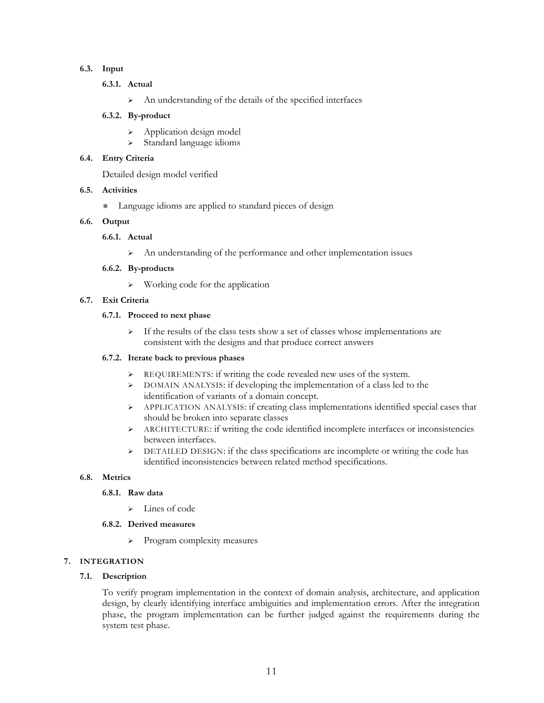#### **6.3. Input**

- **6.3.1. Actual** 
	- ¾ An understanding of the details of the specified interfaces

#### **6.3.2. By-product**

- ¾ Application design model
- ¾ Standard language idioms

#### **6.4. Entry Criteria**

Detailed design model verified

#### **6.5. Activities**

Language idioms are applied to standard pieces of design

#### **6.6. Output**

#### **6.6.1. Actual**

¾ An understanding of the performance and other implementation issues

#### **6.6.2. By-products**

¾ Working code for the application

#### **6.7. Exit Criteria**

#### **6.7.1. Proceed to next phase**

¾ If the results of the class tests show a set of classes whose implementations are consistent with the designs and that produce correct answers

#### **6.7.2. Iterate back to previous phases**

- ¾ REQUIREMENTS: if writing the code revealed new uses of the system.
- ¾ DOMAIN ANALYSIS: if developing the implementation of a class led to the identification of variants of a domain concept.
- ¾ APPLICATION ANALYSIS: if creating class implementations identified special cases that should be broken into separate classes
- ¾ ARCHITECTURE: if writing the code identified incomplete interfaces or inconsistencies between interfaces.
- ¾ DETAILED DESIGN: if the class specifications are incomplete or writing the code has identified inconsistencies between related method specifications.

#### **6.8. Metrics**

#### **6.8.1. Raw data**

 $\blacktriangleright$  Lines of code

#### **6.8.2. Derived measures**

¾ Program complexity measures

#### **7. INTEGRATION**

#### **7.1. Description**

To verify program implementation in the context of domain analysis, architecture, and application design, by clearly identifying interface ambiguities and implementation errors. After the integration phase, the program implementation can be further judged against the requirements during the system test phase.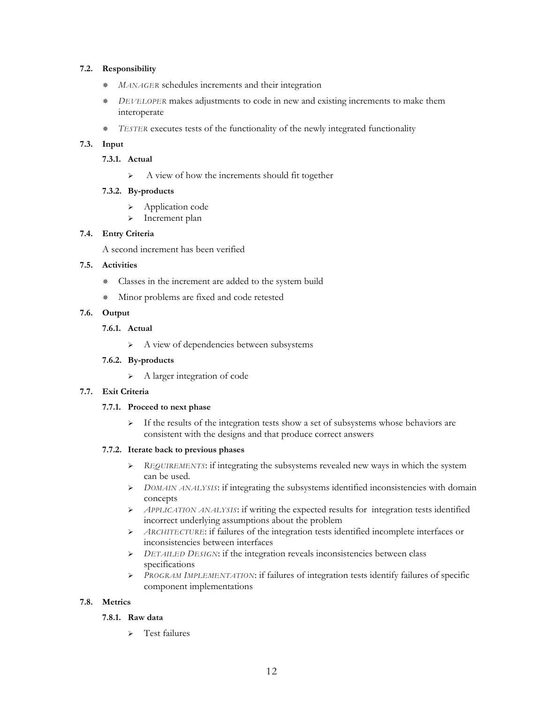#### **7.2. Responsibility**

- *MANAGER* schedules increments and their integration
- *DEVELOPER* makes adjustments to code in new and existing increments to make them interoperate
- *TESTER* executes tests of the functionality of the newly integrated functionality

#### **7.3. Input**

#### **7.3.1. Actual**

¾ A view of how the increments should fit together

#### **7.3.2. By-products**

- Application code
- > Increment plan

#### **7.4. Entry Criteria**

A second increment has been verified

#### **7.5. Activities**

- Classes in the increment are added to the system build
- Minor problems are fixed and code retested

#### **7.6. Output**

#### **7.6.1. Actual**

¾ A view of dependencies between subsystems

#### **7.6.2. By-products**

¾ A larger integration of code

#### **7.7. Exit Criteria**

#### **7.7.1. Proceed to next phase**

 $\triangleright$  If the results of the integration tests show a set of subsystems whose behaviors are consistent with the designs and that produce correct answers

#### **7.7.2. Iterate back to previous phases**

- ¾ *REQUIREMENTS*: if integrating the subsystems revealed new ways in which the system can be used.
- ¾ *DOMAIN ANALYSIS*: if integrating the subsystems identified inconsistencies with domain concepts
- ¾ *APPLICATION ANALYSIS*: if writing the expected results for integration tests identified incorrect underlying assumptions about the problem
- ¾ *ARCHITECTURE*: if failures of the integration tests identified incomplete interfaces or inconsistencies between interfaces
- ¾ *DETAILED DESIGN*: if the integration reveals inconsistencies between class specifications
- ¾ *PROGRAM IMPLEMENTATION*: if failures of integration tests identify failures of specific component implementations

#### **7.8. Metrics**

#### **7.8.1. Raw data**

 $\triangleright$  Test failures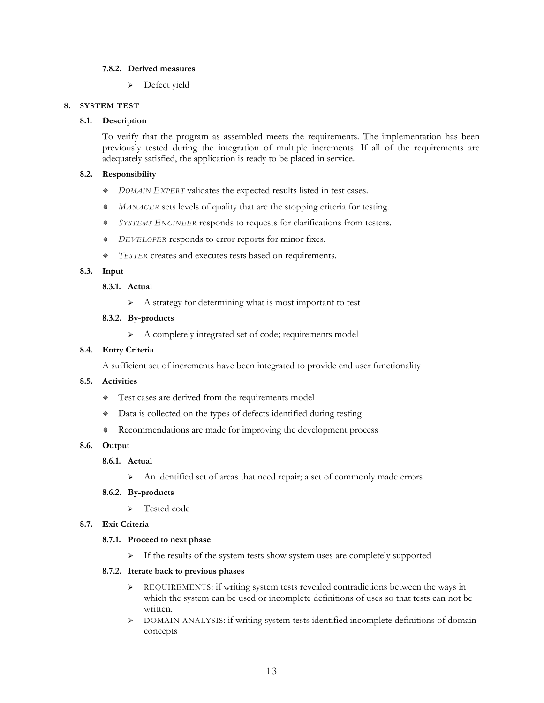#### **7.8.2. Derived measures**

¾ Defect yield

#### **8. SYSTEM TEST**

#### **8.1. Description**

To verify that the program as assembled meets the requirements. The implementation has been previously tested during the integration of multiple increments. If all of the requirements are adequately satisfied, the application is ready to be placed in service.

#### **8.2. Responsibility**

- *DOMAIN EXPERT* validates the expected results listed in test cases.
- *MANAGER* sets levels of quality that are the stopping criteria for testing.
- *SYSTEMS ENGINEER* responds to requests for clarifications from testers.
- *DEVELOPER* responds to error reports for minor fixes.
- *TESTER* creates and executes tests based on requirements.

#### **8.3. Input**

#### **8.3.1. Actual**

¾ A strategy for determining what is most important to test

#### **8.3.2. By-products**

¾ A completely integrated set of code; requirements model

#### **8.4. Entry Criteria**

A sufficient set of increments have been integrated to provide end user functionality

#### **8.5. Activities**

- Test cases are derived from the requirements model
- Data is collected on the types of defects identified during testing
- Recommendations are made for improving the development process

#### **8.6. Output**

#### **8.6.1. Actual**

¾ An identified set of areas that need repair; a set of commonly made errors

#### **8.6.2. By-products**

¾ Tested code

#### **8.7. Exit Criteria**

#### **8.7.1. Proceed to next phase**

¾ If the results of the system tests show system uses are completely supported

#### **8.7.2. Iterate back to previous phases**

- ¾ REQUIREMENTS: if writing system tests revealed contradictions between the ways in which the system can be used or incomplete definitions of uses so that tests can not be written.
- ¾ DOMAIN ANALYSIS: if writing system tests identified incomplete definitions of domain concepts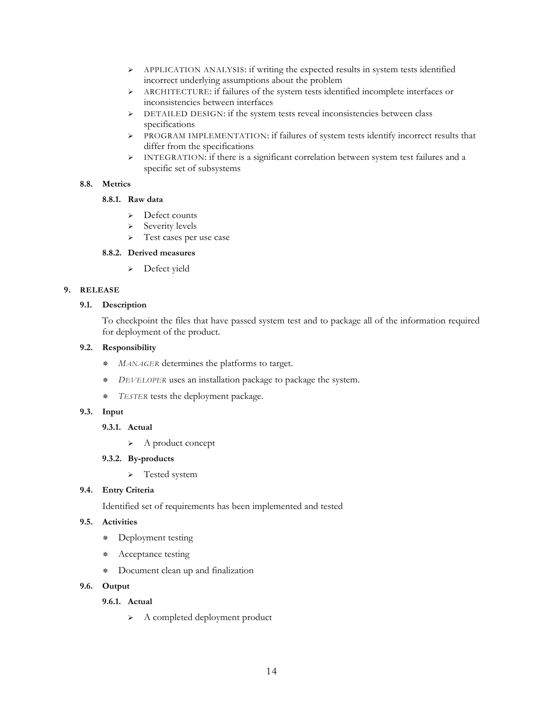- ¾ APPLICATION ANALYSIS: if writing the expected results in system tests identified incorrect underlying assumptions about the problem
- ¾ ARCHITECTURE: if failures of the system tests identified incomplete interfaces or inconsistencies between interfaces
- ¾ DETAILED DESIGN: if the system tests reveal inconsistencies between class specifications
- ¾ PROGRAM IMPLEMENTATION: if failures of system tests identify incorrect results that differ from the specifications
- $\triangleright$  INTEGRATION: if there is a significant correlation between system test failures and a specific set of subsystems

#### **8.8. Metrics**

#### **8.8.1. Raw data**

- ¾ Defect counts
- ¾ Severity levels
- > Test cases per use case

#### **8.8.2. Derived measures**

¾ Defect yield

#### **9. RELEASE**

#### **9.1. Description**

To checkpoint the files that have passed system test and to package all of the information required for deployment of the product.

#### **9.2. Responsibility**

- *MANAGER* determines the platforms to target.
- *DEVELOPER* uses an installation package to package the system.
- *TESTER* tests the deployment package.

#### **9.3. Input**

#### **9.3.1. Actual**

- ¾ A product concept
- **9.3.2. By-products** 
	- > Tested system

#### **9.4. Entry Criteria**

Identified set of requirements has been implemented and tested

#### **9.5. Activities**

- Deployment testing
- \* Acceptance testing
- Document clean up and finalization

#### **9.6. Output**

#### **9.6.1. Actual**

¾ A completed deployment product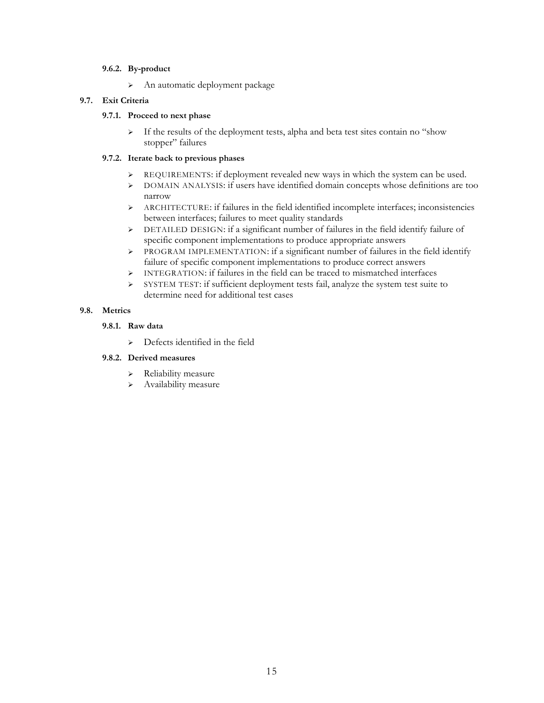#### **9.6.2. By-product**

¾ An automatic deployment package

#### **9.7. Exit Criteria**

#### **9.7.1. Proceed to next phase**

¾ If the results of the deployment tests, alpha and beta test sites contain no "show stopper" failures

#### **9.7.2. Iterate back to previous phases**

- ¾ REQUIREMENTS: if deployment revealed new ways in which the system can be used.
- ¾ DOMAIN ANALYSIS: if users have identified domain concepts whose definitions are too narrow
- ¾ ARCHITECTURE: if failures in the field identified incomplete interfaces; inconsistencies between interfaces; failures to meet quality standards
- ¾ DETAILED DESIGN: if a significant number of failures in the field identify failure of specific component implementations to produce appropriate answers
- ¾ PROGRAM IMPLEMENTATION: if a significant number of failures in the field identify failure of specific component implementations to produce correct answers
- ¾ INTEGRATION: if failures in the field can be traced to mismatched interfaces
- ¾ SYSTEM TEST: if sufficient deployment tests fail, analyze the system test suite to determine need for additional test cases

#### **9.8. Metrics**

- **9.8.1. Raw data** 
	- $\triangleright$  Defects identified in the field

#### **9.8.2. Derived measures**

- ¾ Reliability measure
- $\triangleright$  Availability measure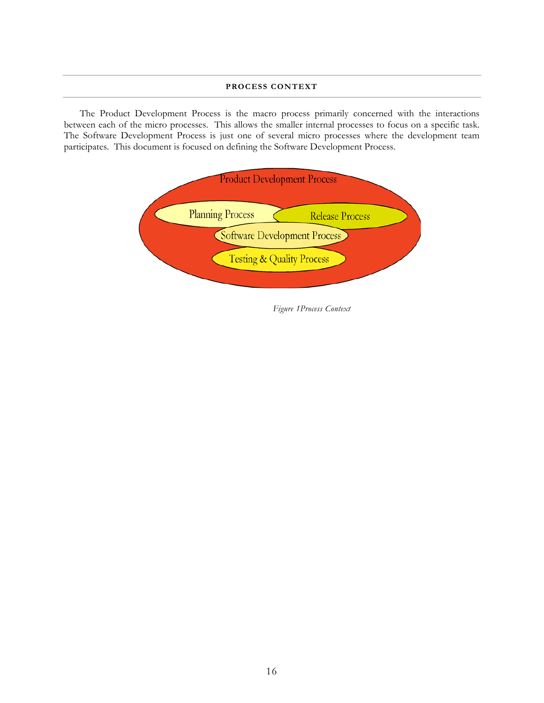#### **PROCESS CONTEXT**

The Product Development Process is the macro process primarily concerned with the interactions between each of the micro processes. This allows the smaller internal processes to focus on a specific task. The Software Development Process is just one of several micro processes where the development team participates. This document is focused on defining the Software Development Process.



*Figure 1Process Context*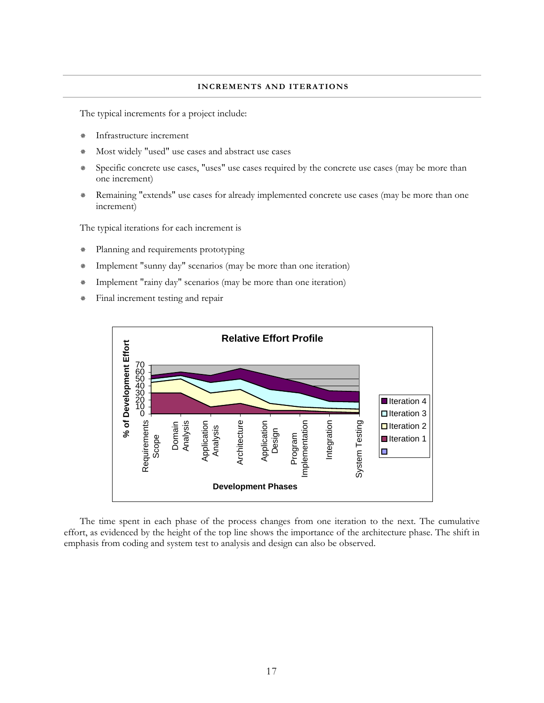#### **INCREMENTS AND ITERATIONS**

The typical increments for a project include:

- Infrastructure increment
- Most widely "used" use cases and abstract use cases
- Specific concrete use cases, "uses" use cases required by the concrete use cases (may be more than one increment)
- Remaining "extends" use cases for already implemented concrete use cases (may be more than one increment)

The typical iterations for each increment is

- \* Planning and requirements prototyping
- Implement "sunny day" scenarios (may be more than one iteration)
- Implement "rainy day" scenarios (may be more than one iteration)
- Final increment testing and repair



The time spent in each phase of the process changes from one iteration to the next. The cumulative effort, as evidenced by the height of the top line shows the importance of the architecture phase. The shift in emphasis from coding and system test to analysis and design can also be observed.